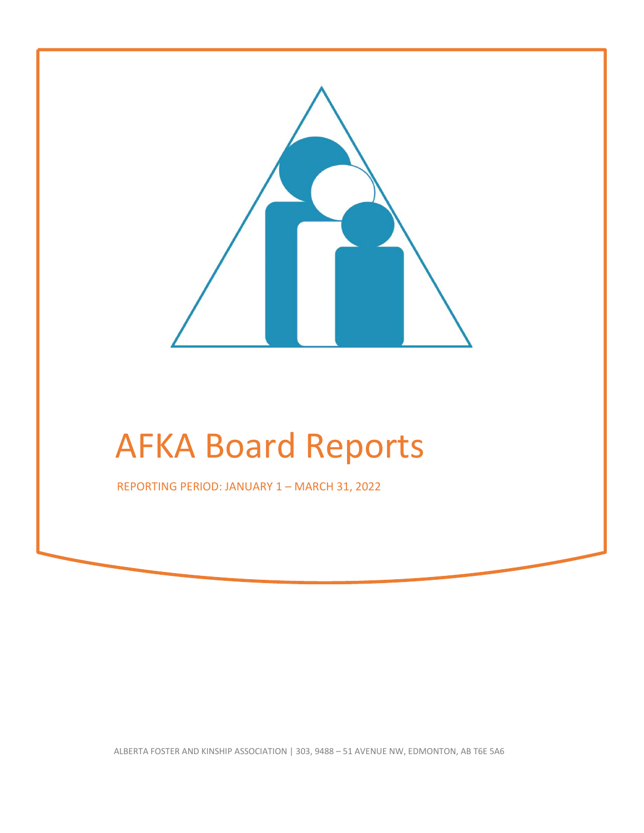

# AFKA Board Reports

REPORTING PERIOD: JANUARY 1 – MARCH 31, 2022

ALBERTA FOSTER AND KINSHIP ASSOCIATION | 303, 9488 – 51 AVENUE NW, EDMONTON, AB T6E 5A6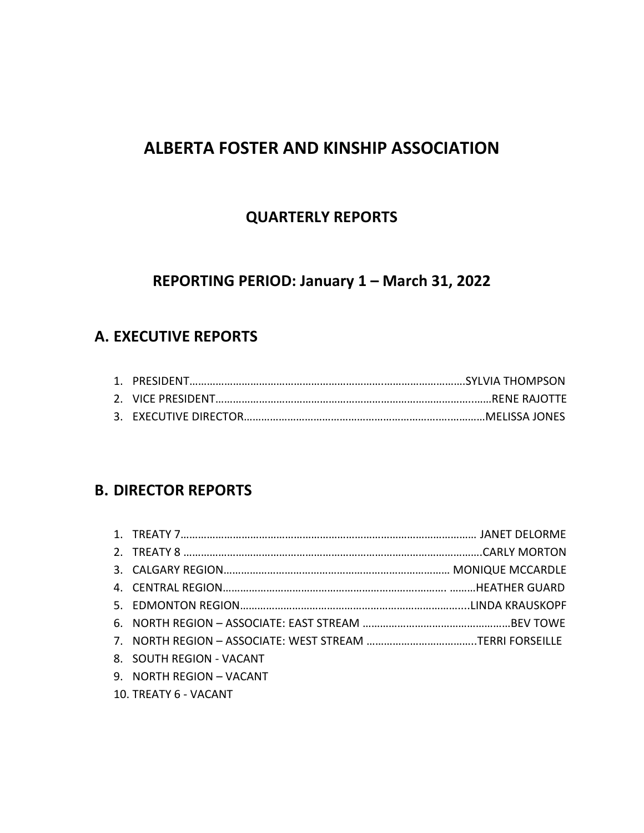# **ALBERTA FOSTER AND KINSHIP ASSOCIATION**

# **QUARTERLY REPORTS**

# **REPORTING PERIOD: January 1 – March 31, 2022**

# **A. EXECUTIVE REPORTS**

# **B. DIRECTOR REPORTS**

| 8. SOUTH REGION - VACANT |  |
|--------------------------|--|
| 9. NORTH REGION - VACANT |  |
| 10. TREATY 6 - VACANT    |  |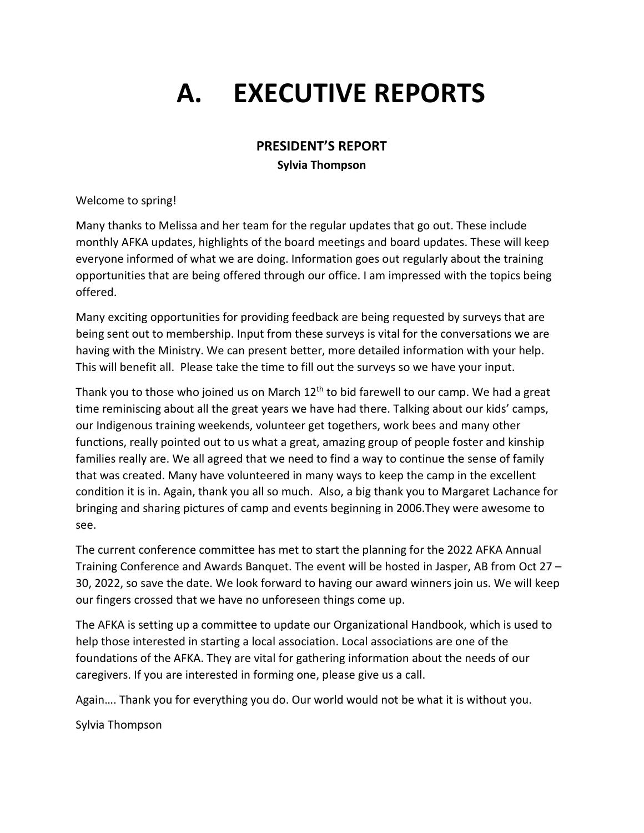# **A. EXECUTIVE REPORTS**

## **PRESIDENT'S REPORT**

**Sylvia Thompson**

Welcome to spring!

Many thanks to Melissa and her team for the regular updates that go out. These include monthly AFKA updates, highlights of the board meetings and board updates. These will keep everyone informed of what we are doing. Information goes out regularly about the training opportunities that are being offered through our office. I am impressed with the topics being offered.

Many exciting opportunities for providing feedback are being requested by surveys that are being sent out to membership. Input from these surveys is vital for the conversations we are having with the Ministry. We can present better, more detailed information with your help. This will benefit all. Please take the time to fill out the surveys so we have your input.

Thank you to those who joined us on March  $12<sup>th</sup>$  to bid farewell to our camp. We had a great time reminiscing about all the great years we have had there. Talking about our kids' camps, our Indigenous training weekends, volunteer get togethers, work bees and many other functions, really pointed out to us what a great, amazing group of people foster and kinship families really are. We all agreed that we need to find a way to continue the sense of family that was created. Many have volunteered in many ways to keep the camp in the excellent condition it is in. Again, thank you all so much. Also, a big thank you to Margaret Lachance for bringing and sharing pictures of camp and events beginning in 2006.They were awesome to see.

The current conference committee has met to start the planning for the 2022 AFKA Annual Training Conference and Awards Banquet. The event will be hosted in Jasper, AB from Oct 27 – 30, 2022, so save the date. We look forward to having our award winners join us. We will keep our fingers crossed that we have no unforeseen things come up.

The AFKA is setting up a committee to update our Organizational Handbook, which is used to help those interested in starting a local association. Local associations are one of the foundations of the AFKA. They are vital for gathering information about the needs of our caregivers. If you are interested in forming one, please give us a call.

Again…. Thank you for everything you do. Our world would not be what it is without you.

Sylvia Thompson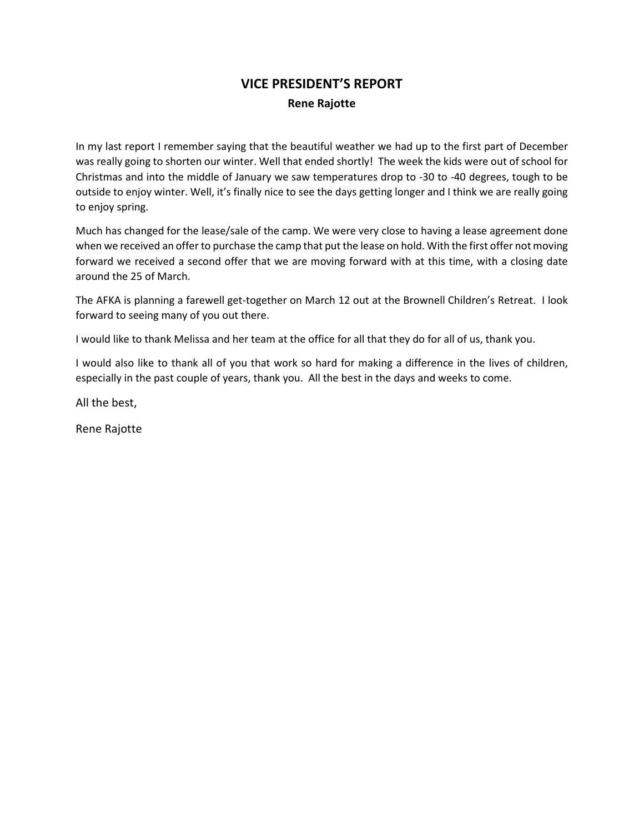# **VICE PRESIDENT'S REPORT Rene Rajotte**

In my last report I remember saying that the beautiful weather we had up to the first part of December was really going to shorten our winter. Well that ended shortly! The week the kids were out of school for Christmas and into the middle of January we saw temperatures drop to -30 to -40 degrees, tough to be outside to enjoy winter. Well, it's finally nice to see the days getting longer and I think we are really going to enjoy spring.

Much has changed for the lease/sale of the camp. We were very close to having a lease agreement done when we received an offer to purchase the camp that put the lease on hold. With the first offer not moving forward we received a second offer that we are moving forward with at this time, with a closing date around the 25 of March.

The AFKA is planning a farewell get-together on March 12 out at the Brownell Children's Retreat. I look forward to seeing many of you out there.

I would like to thank Melissa and her team at the office for all that they do for all of us, thank you.

I would also like to thank all of you that work so hard for making a difference in the lives of children, especially in the past couple of years, thank you. All the best in the days and weeks to come.

All the best,

Rene Rajotte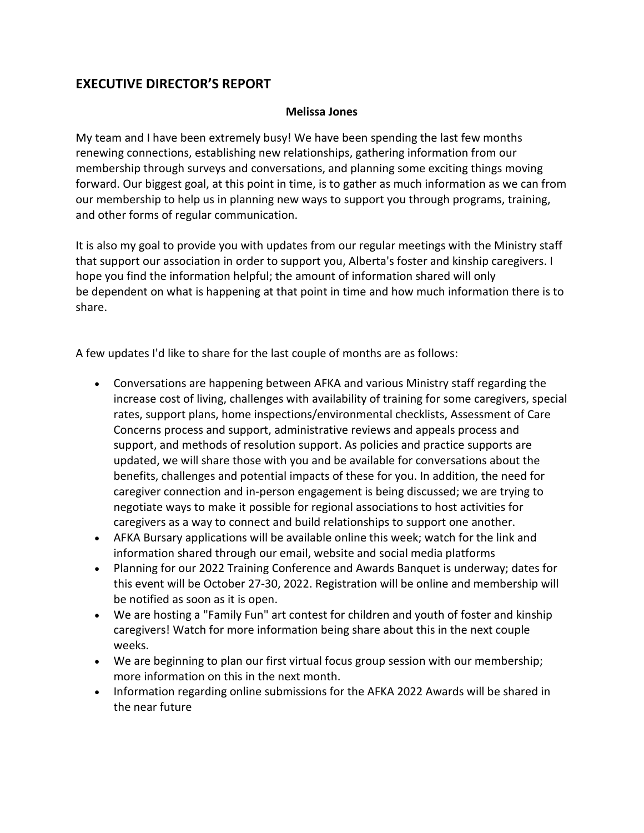# **EXECUTIVE DIRECTOR'S REPORT**

#### **Melissa Jones**

My team and I have been extremely busy! We have been spending the last few months renewing connections, establishing new relationships, gathering information from our membership through surveys and conversations, and planning some exciting things moving forward. Our biggest goal, at this point in time, is to gather as much information as we can from our membership to help us in planning new ways to support you through programs, training, and other forms of regular communication.

It is also my goal to provide you with updates from our regular meetings with the Ministry staff that support our association in order to support you, Alberta's foster and kinship caregivers. I hope you find the information helpful; the amount of information shared will only be dependent on what is happening at that point in time and how much information there is to share.

A few updates I'd like to share for the last couple of months are as follows:

- Conversations are happening between AFKA and various Ministry staff regarding the increase cost of living, challenges with availability of training for some caregivers, special rates, support plans, home inspections/environmental checklists, Assessment of Care Concerns process and support, administrative reviews and appeals process and support, and methods of resolution support. As policies and practice supports are updated, we will share those with you and be available for conversations about the benefits, challenges and potential impacts of these for you. In addition, the need for caregiver connection and in-person engagement is being discussed; we are trying to negotiate ways to make it possible for regional associations to host activities for caregivers as a way to connect and build relationships to support one another.
- AFKA Bursary applications will be available online this week; watch for the link and information shared through our email, website and social media platforms
- Planning for our 2022 Training Conference and Awards Banquet is underway; dates for this event will be October 27-30, 2022. Registration will be online and membership will be notified as soon as it is open.
- We are hosting a "Family Fun" art contest for children and youth of foster and kinship caregivers! Watch for more information being share about this in the next couple weeks.
- We are beginning to plan our first virtual focus group session with our membership; more information on this in the next month.
- Information regarding online submissions for the AFKA 2022 Awards will be shared in the near future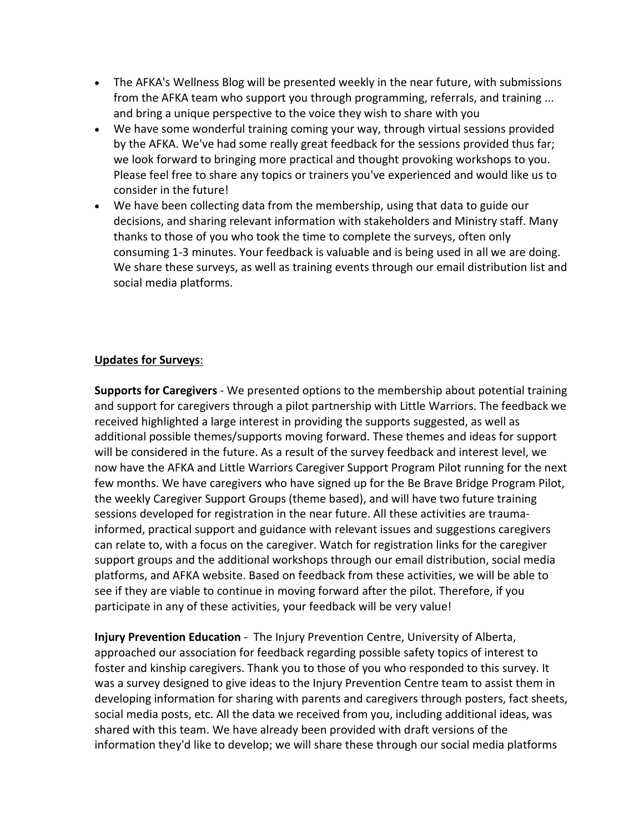- The AFKA's Wellness Blog will be presented weekly in the near future, with submissions from the AFKA team who support you through programming, referrals, and training ... and bring a unique perspective to the voice they wish to share with you
- We have some wonderful training coming your way, through virtual sessions provided by the AFKA. We've had some really great feedback for the sessions provided thus far; we look forward to bringing more practical and thought provoking workshops to you. Please feel free to share any topics or trainers you've experienced and would like us to consider in the future!
- We have been collecting data from the membership, using that data to guide our decisions, and sharing relevant information with stakeholders and Ministry staff. Many thanks to those of you who took the time to complete the surveys, often only consuming 1-3 minutes. Your feedback is valuable and is being used in all we are doing. We share these surveys, as well as training events through our email distribution list and social media platforms.

### **Updates for Surveys**:

**Supports for Caregivers** - We presented options to the membership about potential training and support for caregivers through a pilot partnership with Little Warriors. The feedback we received highlighted a large interest in providing the supports suggested, as well as additional possible themes/supports moving forward. These themes and ideas for support will be considered in the future. As a result of the survey feedback and interest level, we now have the AFKA and Little Warriors Caregiver Support Program Pilot running for the next few months. We have caregivers who have signed up for the Be Brave Bridge Program Pilot, the weekly Caregiver Support Groups (theme based), and will have two future training sessions developed for registration in the near future. All these activities are traumainformed, practical support and guidance with relevant issues and suggestions caregivers can relate to, with a focus on the caregiver. Watch for registration links for the caregiver support groups and the additional workshops through our email distribution, social media platforms, and AFKA website. Based on feedback from these activities, we will be able to see if they are viable to continue in moving forward after the pilot. Therefore, if you participate in any of these activities, your feedback will be very value!

**Injury Prevention Education** - The Injury Prevention Centre, University of Alberta, approached our association for feedback regarding possible safety topics of interest to foster and kinship caregivers. Thank you to those of you who responded to this survey. It was a survey designed to give ideas to the Injury Prevention Centre team to assist them in developing information for sharing with parents and caregivers through posters, fact sheets, social media posts, etc. All the data we received from you, including additional ideas, was shared with this team. We have already been provided with draft versions of the information they'd like to develop; we will share these through our social media platforms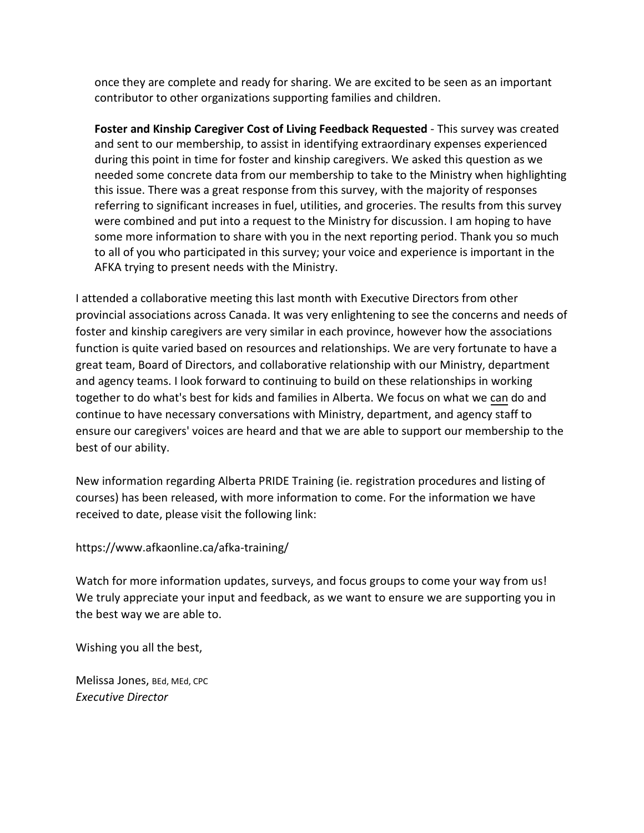once they are complete and ready for sharing. We are excited to be seen as an important contributor to other organizations supporting families and children.

**Foster and Kinship Caregiver Cost of Living Feedback Requested** - This survey was created and sent to our membership, to assist in identifying extraordinary expenses experienced during this point in time for foster and kinship caregivers. We asked this question as we needed some concrete data from our membership to take to the Ministry when highlighting this issue. There was a great response from this survey, with the majority of responses referring to significant increases in fuel, utilities, and groceries. The results from this survey were combined and put into a request to the Ministry for discussion. I am hoping to have some more information to share with you in the next reporting period. Thank you so much to all of you who participated in this survey; your voice and experience is important in the AFKA trying to present needs with the Ministry.

I attended a collaborative meeting this last month with Executive Directors from other provincial associations across Canada. It was very enlightening to see the concerns and needs of foster and kinship caregivers are very similar in each province, however how the associations function is quite varied based on resources and relationships. We are very fortunate to have a great team, Board of Directors, and collaborative relationship with our Ministry, department and agency teams. I look forward to continuing to build on these relationships in working together to do what's best for kids and families in Alberta. We focus on what we can do and continue to have necessary conversations with Ministry, department, and agency staff to ensure our caregivers' voices are heard and that we are able to support our membership to the best of our ability.

New information regarding Alberta PRIDE Training (ie. registration procedures and listing of courses) has been released, with more information to come. For the information we have received to date, please visit the following link:

<https://www.afkaonline.ca/afka-training/>

Watch for more information updates, surveys, and focus groups to come your way from us! We truly appreciate your input and feedback, as we want to ensure we are supporting you in the best way we are able to.

Wishing you all the best,

Melissa Jones, BEd, MEd, CPC *Executive Director*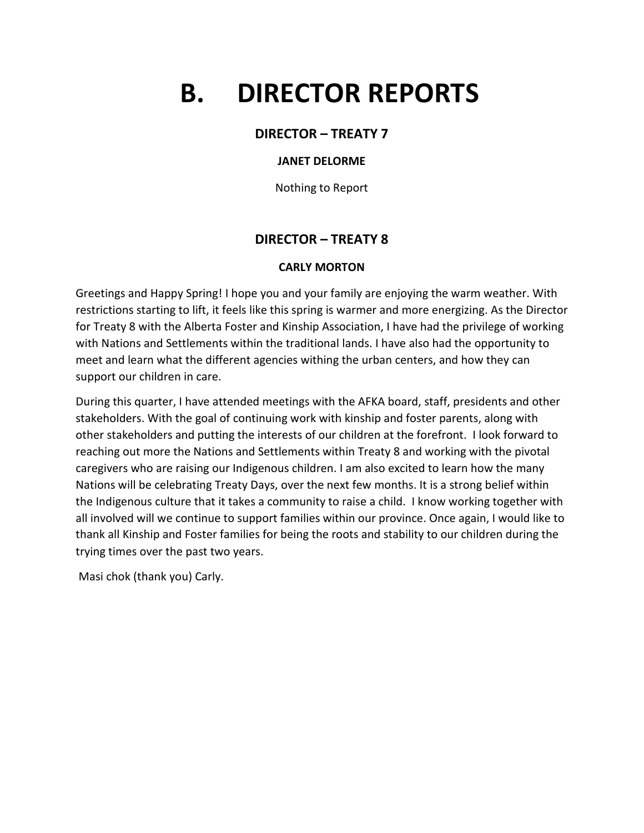# **B. DIRECTOR REPORTS**

### **DIRECTOR – TREATY 7**

#### **JANET DELORME**

Nothing to Report

## **DIRECTOR – TREATY 8**

#### **CARLY MORTON**

Greetings and Happy Spring! I hope you and your family are enjoying the warm weather. With restrictions starting to lift, it feels like this spring is warmer and more energizing. As the Director for Treaty 8 with the Alberta Foster and Kinship Association, I have had the privilege of working with Nations and Settlements within the traditional lands. I have also had the opportunity to meet and learn what the different agencies withing the urban centers, and how they can support our children in care.

During this quarter, I have attended meetings with the AFKA board, staff, presidents and other stakeholders. With the goal of continuing work with kinship and foster parents, along with other stakeholders and putting the interests of our children at the forefront. I look forward to reaching out more the Nations and Settlements within Treaty 8 and working with the pivotal caregivers who are raising our Indigenous children. I am also excited to learn how the many Nations will be celebrating Treaty Days, over the next few months. It is a strong belief within the Indigenous culture that it takes a community to raise a child. I know working together with all involved will we continue to support families within our province. Once again, I would like to thank all Kinship and Foster families for being the roots and stability to our children during the trying times over the past two years.

Masi chok (thank you) Carly.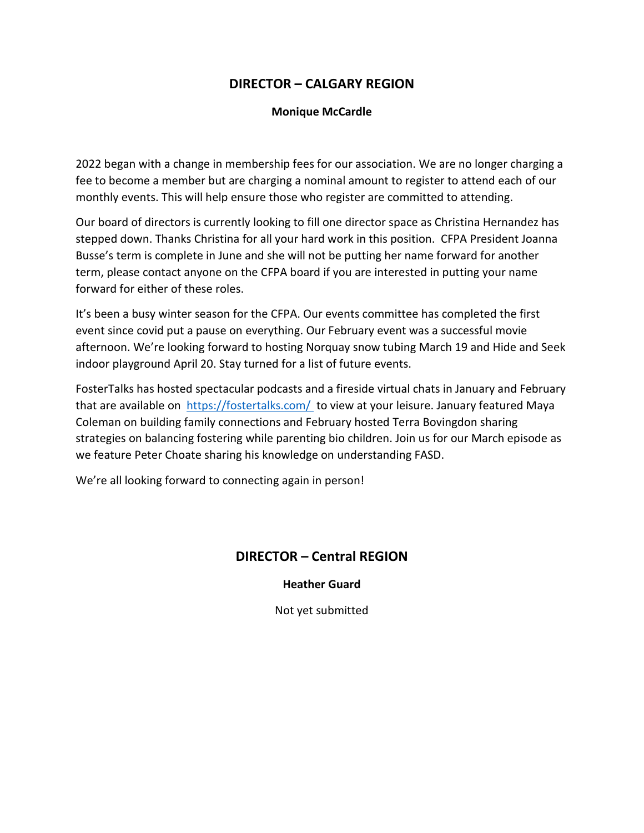# **DIRECTOR – CALGARY REGION**

#### **Monique McCardle**

2022 began with a change in membership fees for our association. We are no longer charging a fee to become a member but are charging a nominal amount to register to attend each of our monthly events. This will help ensure those who register are committed to attending.

Our board of directors is currently looking to fill one director space as Christina Hernandez has stepped down. Thanks Christina for all your hard work in this position. CFPA President Joanna Busse's term is complete in June and she will not be putting her name forward for another term, please contact anyone on the CFPA board if you are interested in putting your name forward for either of these roles.

It's been a busy winter season for the CFPA. Our events committee has completed the first event since covid put a pause on everything. Our February event was a successful movie afternoon. We're looking forward to hosting Norquay snow tubing March 19 and Hide and Seek indoor playground April 20. Stay turned for a list of future events.

FosterTalks has hosted spectacular podcasts and a fireside virtual chats in January and February that are available on <https://fostertalks.com/> to view at your leisure. January featured Maya Coleman on building family connections and February hosted Terra Bovingdon sharing strategies on balancing fostering while parenting bio children. Join us for our March episode as we feature Peter Choate sharing his knowledge on understanding FASD.

We're all looking forward to connecting again in person!

## **DIRECTOR – Central REGION**

**Heather Guard**

Not yet submitted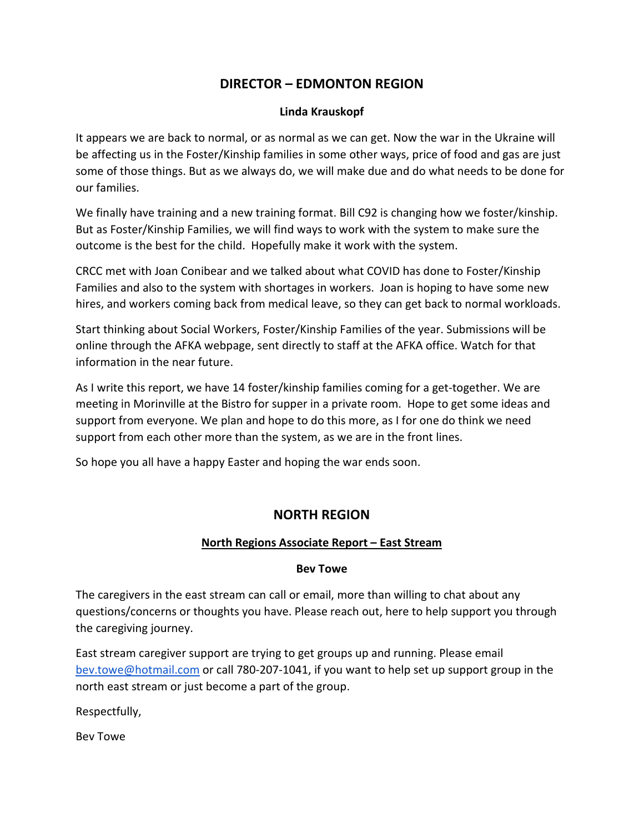# **DIRECTOR – EDMONTON REGION**

#### **Linda Krauskopf**

It appears we are back to normal, or as normal as we can get. Now the war in the Ukraine will be affecting us in the Foster/Kinship families in some other ways, price of food and gas are just some of those things. But as we always do, we will make due and do what needs to be done for our families.

We finally have training and a new training format. Bill C92 is changing how we foster/kinship. But as Foster/Kinship Families, we will find ways to work with the system to make sure the outcome is the best for the child. Hopefully make it work with the system.

CRCC met with Joan Conibear and we talked about what COVID has done to Foster/Kinship Families and also to the system with shortages in workers. Joan is hoping to have some new hires, and workers coming back from medical leave, so they can get back to normal workloads.

Start thinking about Social Workers, Foster/Kinship Families of the year. Submissions will be online through the AFKA webpage, sent directly to staff at the AFKA office. Watch for that information in the near future.

As I write this report, we have 14 foster/kinship families coming for a get-together. We are meeting in Morinville at the Bistro for supper in a private room. Hope to get some ideas and support from everyone. We plan and hope to do this more, as I for one do think we need support from each other more than the system, as we are in the front lines.

So hope you all have a happy Easter and hoping the war ends soon.

# **NORTH REGION**

### **North Regions Associate Report – East Stream**

#### **Bev Towe**

The caregivers in the east stream can call or email, more than willing to chat about any questions/concerns or thoughts you have. Please reach out, here to help support you through the caregiving journey.

East stream caregiver support are trying to get groups up and running. Please email bev.towe@hotmail.com or call 780-207-1041, if you want to help set up support group in the north east stream or just become a part of the group.

Respectfully,

Bev Towe